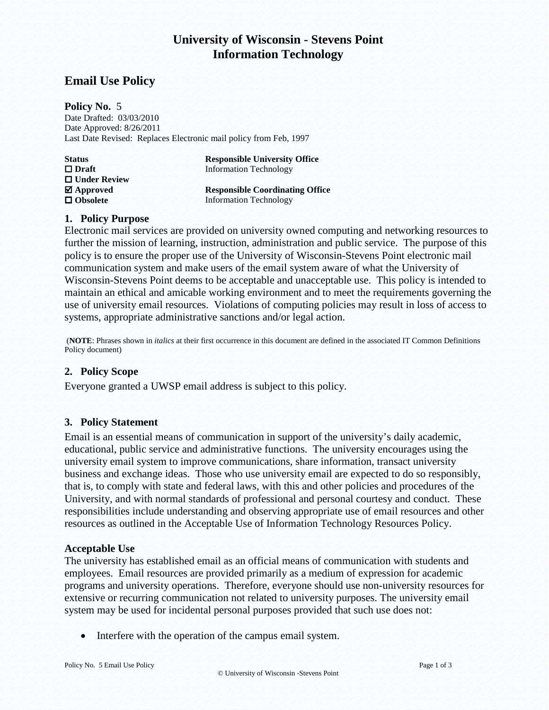# **University of Wisconsin - Stevens Point Information Technology**

## **Email Use Policy**

**Policy No.** 5 Date Drafted: 03/03/2010 Date Approved: 8/26/2011 Last Date Revised: Replaces Electronic mail policy from Feb, 1997

| <b>Status</b>           | <b>Responsible University Office</b>   |
|-------------------------|----------------------------------------|
| $\Box$ Draft            | <b>Information Technology</b>          |
| $\Box$ Under Review     |                                        |
| $\blacksquare$ Approved | <b>Responsible Coordinating Office</b> |
| $\Box$ Obsolete         | <b>Information Technology</b>          |

#### **1. Policy Purpose**

Electronic mail services are provided on university owned computing and networking resources to further the mission of learning, instruction, administration and public service. The purpose of this policy is to ensure the proper use of the University of Wisconsin-Stevens Point electronic mail communication system and make users of the email system aware of what the University of Wisconsin-Stevens Point deems to be acceptable and unacceptable use. This policy is intended to maintain an ethical and amicable working environment and to meet the requirements governing the use of university email resources. Violations of computing policies may result in loss of access to systems, appropriate administrative sanctions and/or legal action.

 (**NOTE**: Phrases shown in *italics* at their first occurrence in this document are defined in the associated IT Common Definitions Policy document)

#### **2. Policy Scope**

Everyone granted a UWSP email address is subject to this policy.

#### **3. Policy Statement**

Email is an essential means of communication in support of the university's daily academic, educational, public service and administrative functions. The university encourages using the university email system to improve communications, share information, transact university business and exchange ideas. Those who use university email are expected to do so responsibly, that is, to comply with state and federal laws, with this and other policies and procedures of the University, and with normal standards of professional and personal courtesy and conduct. These responsibilities include understanding and observing appropriate use of email resources and other resources as outlined in the Acceptable Use of Information Technology Resources Policy.

#### **Acceptable Use**

The university has established email as an official means of communication with students and employees. Email resources are provided primarily as a medium of expression for academic programs and university operations. Therefore, everyone should use non-university resources for extensive or recurring communication not related to university purposes. The university email system may be used for incidental personal purposes provided that such use does not:

• Interfere with the operation of the campus email system.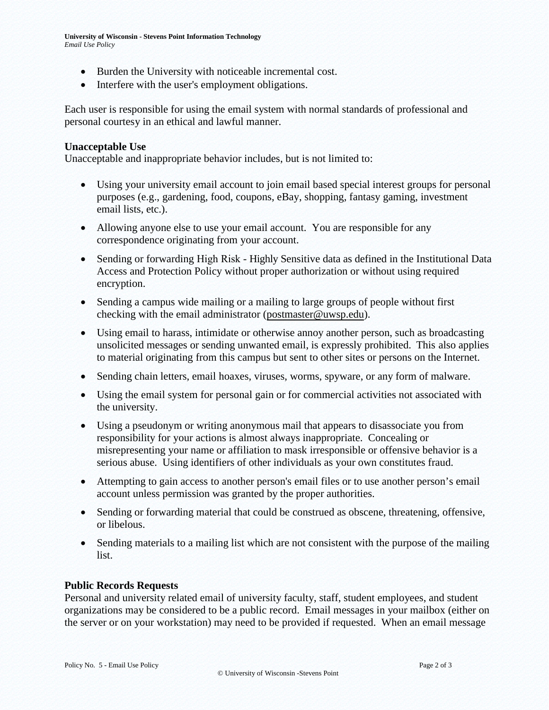- Burden the University with noticeable incremental cost.
- Interfere with the user's employment obligations.

Each user is responsible for using the email system with normal standards of professional and personal courtesy in an ethical and lawful manner.

#### **Unacceptable Use**

Unacceptable and inappropriate behavior includes, but is not limited to:

- Using your university email account to join email based special interest groups for personal purposes (e.g., gardening, food, coupons, eBay, shopping, fantasy gaming, investment email lists, etc.).
- Allowing anyone else to use your email account. You are responsible for any correspondence originating from your account.
- Sending or forwarding High Risk Highly Sensitive data as defined in the Institutional Data Access and Protection Policy without proper authorization or without using required encryption.
- Sending a campus wide mailing or a mailing to large groups of people without first checking with the email administrator [\(postmaster@uwsp.edu\)](mailto:postmaster@uwsp.edu).
- Using email to harass, intimidate or otherwise annoy another person, such as broadcasting unsolicited messages or sending unwanted email, is expressly prohibited. This also applies to material originating from this campus but sent to other sites or persons on the Internet.
- Sending chain letters, email hoaxes, viruses, worms, spyware, or any form of malware.
- Using the email system for personal gain or for commercial activities not associated with the university.
- Using a pseudonym or writing anonymous mail that appears to disassociate you from responsibility for your actions is almost always inappropriate. Concealing or misrepresenting your name or affiliation to mask irresponsible or offensive behavior is a serious abuse. Using identifiers of other individuals as your own constitutes fraud.
- Attempting to gain access to another person's email files or to use another person's email account unless permission was granted by the proper authorities.
- Sending or forwarding material that could be construed as obscene, threatening, offensive, or libelous.
- Sending materials to a mailing list which are not consistent with the purpose of the mailing list.

#### **Public Records Requests**

Personal and university related email of university faculty, staff, student employees, and student organizations may be considered to be a public record. Email messages in your mailbox (either on the server or on your workstation) may need to be provided if requested. When an email message